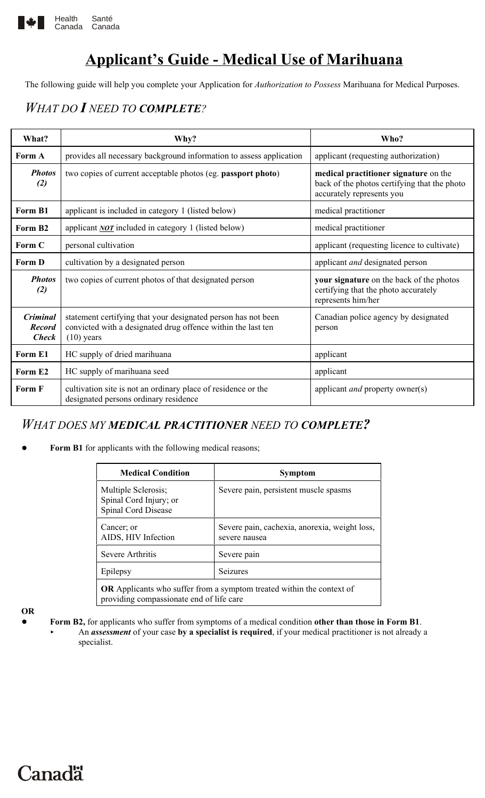

## **Applicant's Guide - Medical Use of Marihuana**

The following guide will help you complete your Application for *Authorization to Possess* Marihuana for Medical Purposes.

### *WHAT DO I NEED TO COMPLETE?*

| What?                                            | Why?                                                                                                                                          | Who?                                                                                                               |
|--------------------------------------------------|-----------------------------------------------------------------------------------------------------------------------------------------------|--------------------------------------------------------------------------------------------------------------------|
| Form A                                           | provides all necessary background information to assess application                                                                           | applicant (requesting authorization)                                                                               |
| <b>Photos</b><br>(2)                             | two copies of current acceptable photos (eg. passport photo)                                                                                  | medical practitioner signature on the<br>back of the photos certifying that the photo<br>accurately represents you |
| Form B1                                          | applicant is included in category 1 (listed below)                                                                                            | medical practitioner                                                                                               |
| Form B <sub>2</sub>                              | applicant $NOT$ included in category 1 (listed below)                                                                                         | medical practitioner                                                                                               |
| Form C                                           | personal cultivation                                                                                                                          | applicant (requesting licence to cultivate)                                                                        |
| Form D                                           | cultivation by a designated person                                                                                                            | applicant <i>and</i> designated person                                                                             |
| <b>Photos</b><br>(2)                             | two copies of current photos of that designated person                                                                                        | your signature on the back of the photos<br>certifying that the photo accurately<br>represents him/her             |
| <b>Criminal</b><br><b>Record</b><br><b>Check</b> | statement certifying that your designated person has not been<br>convicted with a designated drug offence within the last ten<br>$(10)$ years | Canadian police agency by designated<br>person                                                                     |
| Form E1                                          | HC supply of dried marihuana                                                                                                                  | applicant                                                                                                          |
| Form E <sub>2</sub>                              | HC supply of marihuana seed                                                                                                                   | applicant                                                                                                          |
| <b>Form F</b>                                    | cultivation site is not an ordinary place of residence or the<br>designated persons ordinary residence                                        | applicant <i>and</i> property owner(s)                                                                             |

### *WHAT DOES MY MEDICAL PRACTITIONER NEED TO COMPLETE?*

Form B1 for applicants with the following medical reasons;

| <b>Medical Condition</b>                                                                                          | <b>Symptom</b>                                                 |  |
|-------------------------------------------------------------------------------------------------------------------|----------------------------------------------------------------|--|
| Multiple Sclerosis;<br>Spinal Cord Injury; or<br>Spinal Cord Disease                                              | Severe pain, persistent muscle spasms                          |  |
| Cancer; or<br>AIDS, HIV Infection                                                                                 | Severe pain, cachexia, anorexia, weight loss,<br>severe nausea |  |
| Severe Arthritis                                                                                                  | Severe pain                                                    |  |
| Epilepsy                                                                                                          | <b>Seizures</b>                                                |  |
| OR Applicants who suffer from a symptom treated within the context of<br>providing compassionate end of life care |                                                                |  |

**OR**

**Canadä** 

! **Form B2,** for applicants who suffer from symptoms of a medical condition **other than those in Form B1**. An *assessment* of your case by a specialist is required, if your medical practitioner is not already a specialist.